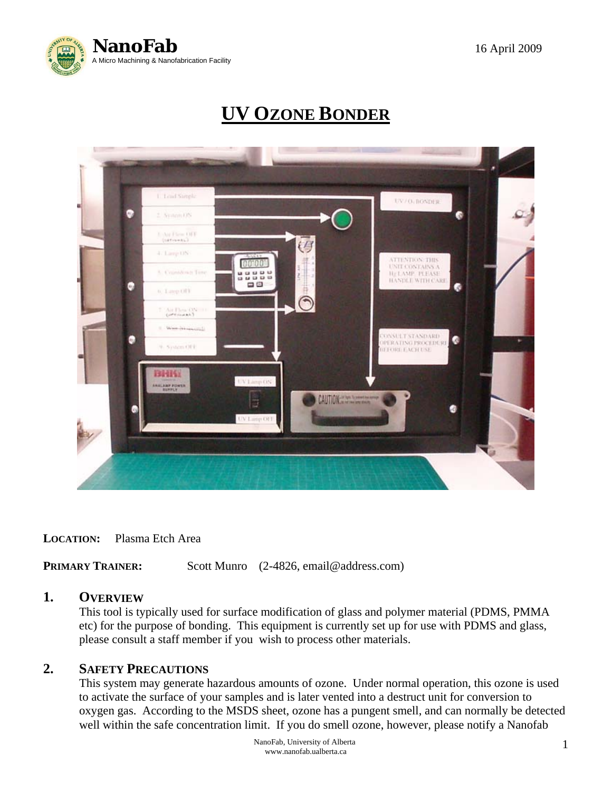

# **UV OZONE BONDER**



**LOCATION:** Plasma Etch Area

**PRIMARY TRAINER:** Scott Munro (2-4826, email@address.com)

#### **1. OVERVIEW**

 This tool is typically used for surface modification of glass and polymer material (PDMS, PMMA etc) for the purpose of bonding. This equipment is currently set up for use with PDMS and glass, please consult a staff member if you wish to process other materials.

#### **2. SAFETY PRECAUTIONS**

This system may generate hazardous amounts of ozone. Under normal operation, this ozone is used to activate the surface of your samples and is later vented into a destruct unit for conversion to oxygen gas. According to the MSDS sheet, ozone has a pungent smell, and can normally be detected well within the safe concentration limit. If you do smell ozone, however, please notify a Nanofab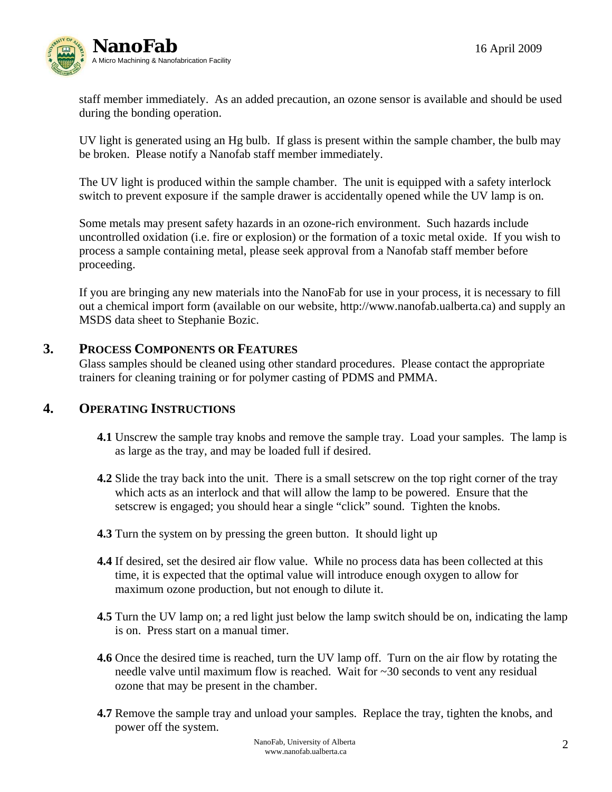

 staff member immediately. As an added precaution, an ozone sensor is available and should be used during the bonding operation.

 UV light is generated using an Hg bulb. If glass is present within the sample chamber, the bulb may be broken. Please notify a Nanofab staff member immediately.

 The UV light is produced within the sample chamber. The unit is equipped with a safety interlock switch to prevent exposure if the sample drawer is accidentally opened while the UV lamp is on.

 Some metals may present safety hazards in an ozone-rich environment. Such hazards include uncontrolled oxidation (i.e. fire or explosion) or the formation of a toxic metal oxide. If you wish to process a sample containing metal, please seek approval from a Nanofab staff member before proceeding.

 If you are bringing any new materials into the NanoFab for use in your process, it is necessary to fill out a chemical import form (available on our website, http://www.nanofab.ualberta.ca) and supply an MSDS data sheet to Stephanie Bozic.

## **3. PROCESS COMPONENTS OR FEATURES**

Glass samples should be cleaned using other standard procedures. Please contact the appropriate trainers for cleaning training or for polymer casting of PDMS and PMMA.

### **4. OPERATING INSTRUCTIONS**

- **4.1** Unscrew the sample tray knobs and remove the sample tray. Load your samples. The lamp is as large as the tray, and may be loaded full if desired.
- **4.2** Slide the tray back into the unit. There is a small setscrew on the top right corner of the tray which acts as an interlock and that will allow the lamp to be powered. Ensure that the setscrew is engaged; you should hear a single "click" sound. Tighten the knobs.
- **4.3** Turn the system on by pressing the green button. It should light up
- **4.4** If desired, set the desired air flow value. While no process data has been collected at this time, it is expected that the optimal value will introduce enough oxygen to allow for maximum ozone production, but not enough to dilute it.
- **4.5** Turn the UV lamp on; a red light just below the lamp switch should be on, indicating the lamp is on. Press start on a manual timer.
- **4.6** Once the desired time is reached, turn the UV lamp off. Turn on the air flow by rotating the needle valve until maximum flow is reached. Wait for ~30 seconds to vent any residual ozone that may be present in the chamber.
- **4.7** Remove the sample tray and unload your samples. Replace the tray, tighten the knobs, and power off the system.